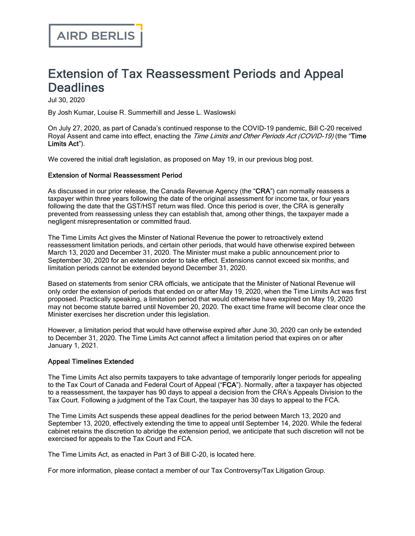## Extension of Tax Reassessment Periods and Appeal **Deadlines**

Jul 30, 2020

By Josh Kumar, Louise R. Summerhill and Jesse L. Waslowski

On July 27, 2020, as part of Canada's continued response to the COVID-19 pandemic, Bill C‑20 received Royal Assent and came into effect, enacting the Time Limits and Other Periods Act (COVID-19) (the "Time Limits Act").

We covered the initial draft legislation, as proposed on May 19, in our previous blog [post.](https://www.airdberlis.com/insights/publications/publication/tax-limitation-and-appeal-periods-extended)

## Extension of Normal Reassessment Period

As discussed in our prior release, the Canada Revenue Agency (the "CRA") can normally reassess a taxpayer within three years following the date of the original assessment for income tax, or four years following the date that the GST/HST return was filed. Once this period is over, the CRA is generally prevented from reassessing unless they can establish that, among other things, the taxpayer made a negligent misrepresentation or committed fraud.

The Time Limits Act gives the Minster of National Revenue the power to retroactively extend reassessment limitation periods, and certain other periods, that would have otherwise expired between March 13, 2020 and December 31, 2020. The Minister must make a public announcement prior to September 30, 2020 for an extension order to take effect. Extensions cannot exceed six months, and limitation periods cannot be extended beyond December 31, 2020.

Based on statements from senior CRA officials, we anticipate that the Minister of National Revenue will only order the extension of periods that ended on or after May 19, 2020, when the Time Limits Act was first proposed. Practically speaking, a limitation period that would otherwise have expired on May 19, 2020 may not become statute barred until November 20, 2020. The exact time frame will become clear once the Minister exercises her discretion under this legislation.

However, a limitation period that would have otherwise expired after June 30, 2020 can only be extended to December 31, 2020. The Time Limits Act cannot affect a limitation period that expires on or after January 1, 2021.

## Appeal Timelines Extended

The Time Limits Act also permits taxpayers to take advantage of temporarily longer periods for appealing to the Tax Court of Canada and Federal Court of Appeal ("FCA"). Normally, after a taxpayer has objected to a reassessment, the taxpayer has 90 days to appeal a decision from the CRA's Appeals Division to the Tax Court. Following a judgment of the Tax Court, the taxpayer has 30 days to appeal to the FCA.

The Time Limits Act suspends these appeal deadlines for the period between March 13, 2020 and September 13, 2020, effectively extending the time to appeal until September 14, 2020. While the federal cabinet retains the discretion to abridge the extension period, we anticipate that such discretion will not be exercised for appeals to the Tax Court and FCA.

The Time Limits Act, as enacted in Part 3 of Bill C-20, is located [here.](https://parl.ca/DocumentViewer/en/43-1/bill/C-20/royal-assent#ID0EBBA)

For more information, please contact a member of our Tax [Controversy/Tax](https://www.airdberlis.com/what-we-do/expertise/service/tax-controversy-tax-litigation) Litigation Group.